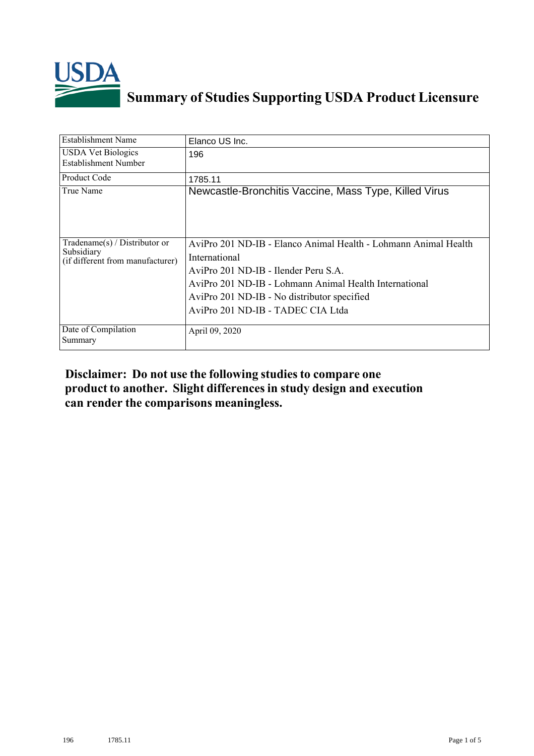

## **Summary of Studies Supporting USDA Product Licensure**

| <b>Establishment Name</b>                                                          | Elanco US Inc.                                                                                                                                                                                                                                                         |
|------------------------------------------------------------------------------------|------------------------------------------------------------------------------------------------------------------------------------------------------------------------------------------------------------------------------------------------------------------------|
| <b>USDA Vet Biologics</b><br><b>Establishment Number</b>                           | 196                                                                                                                                                                                                                                                                    |
| <b>Product Code</b>                                                                | 1785.11                                                                                                                                                                                                                                                                |
| True Name                                                                          | Newcastle-Bronchitis Vaccine, Mass Type, Killed Virus                                                                                                                                                                                                                  |
| Tradename $(s)$ / Distributor or<br>Subsidiary<br>(if different from manufacturer) | AviPro 201 ND-IB - Elanco Animal Health - Lohmann Animal Health<br>International<br>AviPro 201 ND-IB - Ilender Peru S.A.<br>AviPro 201 ND-IB - Lohmann Animal Health International<br>AviPro 201 ND-IB - No distributor specified<br>AviPro 201 ND-IB - TADEC CIA Ltda |
| Date of Compilation<br>Summary                                                     | April 09, 2020                                                                                                                                                                                                                                                         |

## **Disclaimer: Do not use the following studiesto compare one product to another. Slight differencesin study design and execution can render the comparisons meaningless.**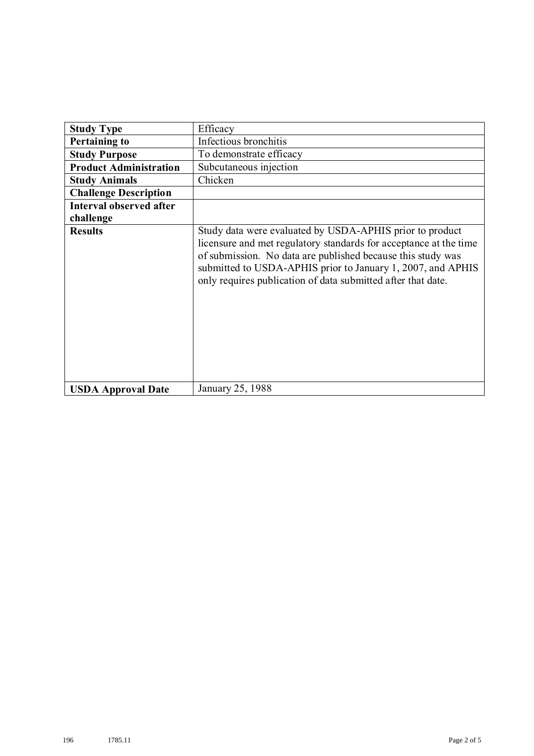| <b>Study Type</b>              | Efficacy                                                                                                                                                                                                                                                                                                                    |
|--------------------------------|-----------------------------------------------------------------------------------------------------------------------------------------------------------------------------------------------------------------------------------------------------------------------------------------------------------------------------|
|                                |                                                                                                                                                                                                                                                                                                                             |
| <b>Pertaining to</b>           | Infectious bronchitis                                                                                                                                                                                                                                                                                                       |
| <b>Study Purpose</b>           | To demonstrate efficacy                                                                                                                                                                                                                                                                                                     |
| <b>Product Administration</b>  | Subcutaneous injection                                                                                                                                                                                                                                                                                                      |
| <b>Study Animals</b>           | Chicken                                                                                                                                                                                                                                                                                                                     |
| <b>Challenge Description</b>   |                                                                                                                                                                                                                                                                                                                             |
| <b>Interval observed after</b> |                                                                                                                                                                                                                                                                                                                             |
| challenge                      |                                                                                                                                                                                                                                                                                                                             |
| <b>Results</b>                 | Study data were evaluated by USDA-APHIS prior to product<br>licensure and met regulatory standards for acceptance at the time<br>of submission. No data are published because this study was<br>submitted to USDA-APHIS prior to January 1, 2007, and APHIS<br>only requires publication of data submitted after that date. |
| <b>USDA Approval Date</b>      | January 25, 1988                                                                                                                                                                                                                                                                                                            |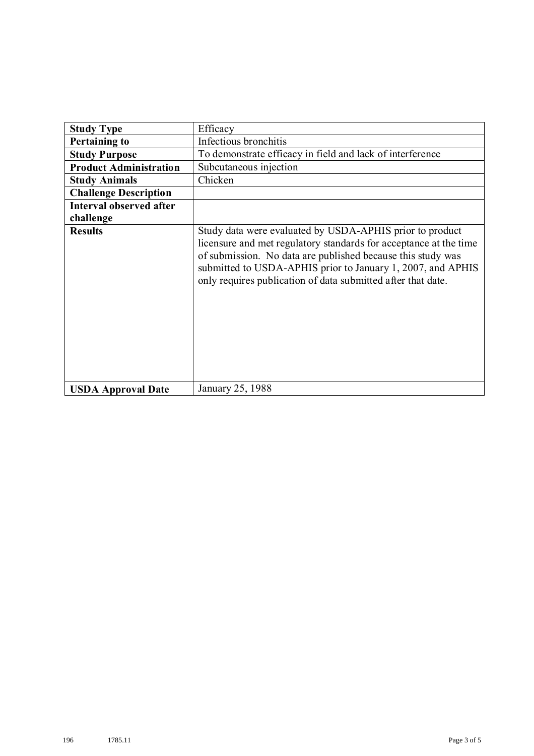| <b>Study Type</b>             | Efficacy                                                                                                                                                                                                                                                                                                                    |
|-------------------------------|-----------------------------------------------------------------------------------------------------------------------------------------------------------------------------------------------------------------------------------------------------------------------------------------------------------------------------|
| <b>Pertaining to</b>          | Infectious bronchitis                                                                                                                                                                                                                                                                                                       |
| <b>Study Purpose</b>          | To demonstrate efficacy in field and lack of interference                                                                                                                                                                                                                                                                   |
| <b>Product Administration</b> | Subcutaneous injection                                                                                                                                                                                                                                                                                                      |
| <b>Study Animals</b>          | Chicken                                                                                                                                                                                                                                                                                                                     |
| <b>Challenge Description</b>  |                                                                                                                                                                                                                                                                                                                             |
| Interval observed after       |                                                                                                                                                                                                                                                                                                                             |
| challenge                     |                                                                                                                                                                                                                                                                                                                             |
| <b>Results</b>                | Study data were evaluated by USDA-APHIS prior to product<br>licensure and met regulatory standards for acceptance at the time<br>of submission. No data are published because this study was<br>submitted to USDA-APHIS prior to January 1, 2007, and APHIS<br>only requires publication of data submitted after that date. |
| <b>USDA Approval Date</b>     | January 25, 1988                                                                                                                                                                                                                                                                                                            |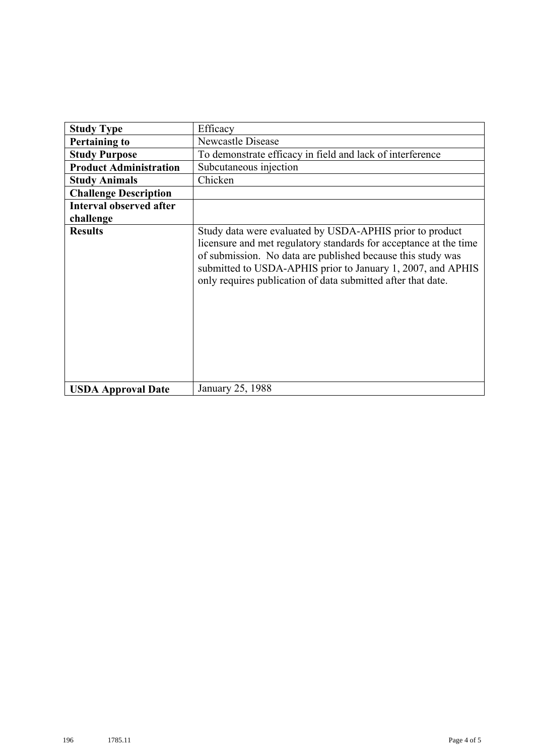| <b>Study Type</b>              | Efficacy                                                                                                                                                                                                                                                                                                                    |
|--------------------------------|-----------------------------------------------------------------------------------------------------------------------------------------------------------------------------------------------------------------------------------------------------------------------------------------------------------------------------|
|                                |                                                                                                                                                                                                                                                                                                                             |
| <b>Pertaining to</b>           | <b>Newcastle Disease</b>                                                                                                                                                                                                                                                                                                    |
| <b>Study Purpose</b>           | To demonstrate efficacy in field and lack of interference                                                                                                                                                                                                                                                                   |
| <b>Product Administration</b>  | Subcutaneous injection                                                                                                                                                                                                                                                                                                      |
| <b>Study Animals</b>           | Chicken                                                                                                                                                                                                                                                                                                                     |
| <b>Challenge Description</b>   |                                                                                                                                                                                                                                                                                                                             |
| <b>Interval observed after</b> |                                                                                                                                                                                                                                                                                                                             |
| challenge                      |                                                                                                                                                                                                                                                                                                                             |
| <b>Results</b>                 | Study data were evaluated by USDA-APHIS prior to product<br>licensure and met regulatory standards for acceptance at the time<br>of submission. No data are published because this study was<br>submitted to USDA-APHIS prior to January 1, 2007, and APHIS<br>only requires publication of data submitted after that date. |
| <b>USDA Approval Date</b>      | January 25, 1988                                                                                                                                                                                                                                                                                                            |